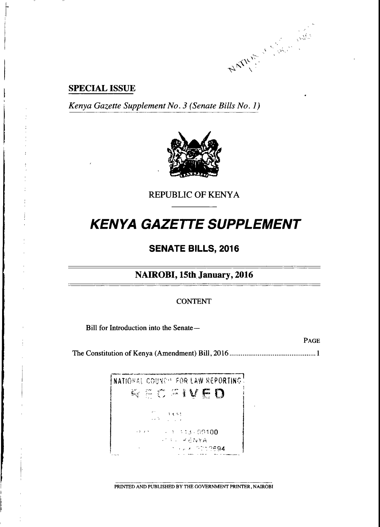

# **SPECIAL ISSUE**

Kenya Gazette Supplement No. 3 (Senate Bills No. 1)



**REPUBLIC OF KENYA** 

# **KENYA GAZETTE SUPPLEMENT**

## **SENATE BILLS, 2016**

NAIROBI, 15th January, 2016

**CONTENT** 

Bill for Introduction into the Senate-

**PAGE** 



PRINTED AND PUBLISHED BY THE GOVERNMENT PRINTER, NAIROBI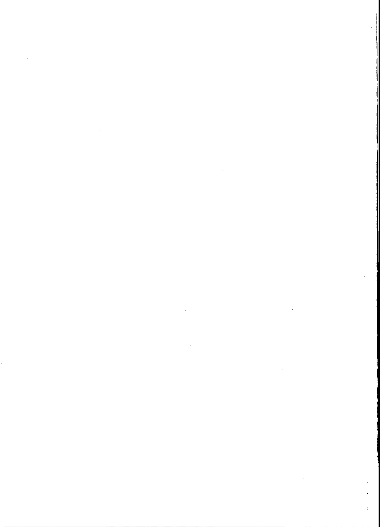$\label{eq:2.1} \frac{1}{\sqrt{2}}\sum_{i=1}^n\frac{1}{\sqrt{2}}\sum_{i=1}^n\frac{1}{\sqrt{2}}\sum_{i=1}^n\frac{1}{\sqrt{2}}\sum_{i=1}^n\frac{1}{\sqrt{2}}\sum_{i=1}^n\frac{1}{\sqrt{2}}\sum_{i=1}^n\frac{1}{\sqrt{2}}\sum_{i=1}^n\frac{1}{\sqrt{2}}\sum_{i=1}^n\frac{1}{\sqrt{2}}\sum_{i=1}^n\frac{1}{\sqrt{2}}\sum_{i=1}^n\frac{1}{\sqrt{2}}\sum_{i=1}^n\frac$  $\mathcal{O}(\mathcal{O}_\mathcal{O})$  . The set of the set of the set of the set of the set of the set of the  $\mathcal{O}(\mathcal{O})$  $\label{eq:2.1} \mathcal{L}(\mathcal{L}) = \mathcal{L}(\mathcal{L}) \mathcal{L}(\mathcal{L}) = \mathcal{L}(\mathcal{L}) \mathcal{L}(\mathcal{L})$ ł,  $\frac{1}{2}$  $\label{eq:2.1} \frac{1}{\sqrt{2}}\int_{\mathbb{R}^3}\frac{1}{\sqrt{2}}\left(\frac{1}{\sqrt{2}}\right)^2\frac{1}{\sqrt{2}}\left(\frac{1}{\sqrt{2}}\right)^2\frac{1}{\sqrt{2}}\left(\frac{1}{\sqrt{2}}\right)^2\frac{1}{\sqrt{2}}\left(\frac{1}{\sqrt{2}}\right)^2.$  $\label{eq:2.1} \mathcal{L}_{\text{max}}(\mathcal{L}_{\text{max}}) = \mathcal{L}_{\text{max}}(\mathcal{L}_{\text{max}})$  $\epsilon_{\rm{eff}}$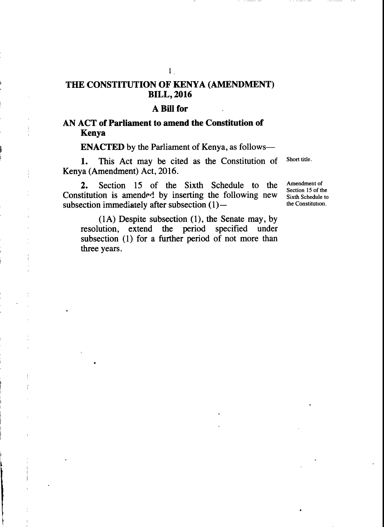## THE CONSTITUTION OF KENYA (AMENDMENT) **BILL, 2016**

#### A Bill for

### AN ACT of Parliament to amend the Constitution of Kenya

ENACTED by the Parliament of Kenya, as follows-

1. This Act may be cited as the Constitution of Short title. Kenya (Amendment) Act, 2016.

2. Section 15 of the Sixth Schedule to the Amendment of Section 15 of the Constitution is amended by inserting the following new  $\frac{\text{Section 13 of the}}{\text{Sixth Schedule to}}$ subsection immediately after subsection  $(1)$  -

 $\mathbf{I}$ 

t I f,

(1A) Despite subsection (1), the Senate may, by resolution, extend the period specified under subsection (1) for a further period of not more than three years.